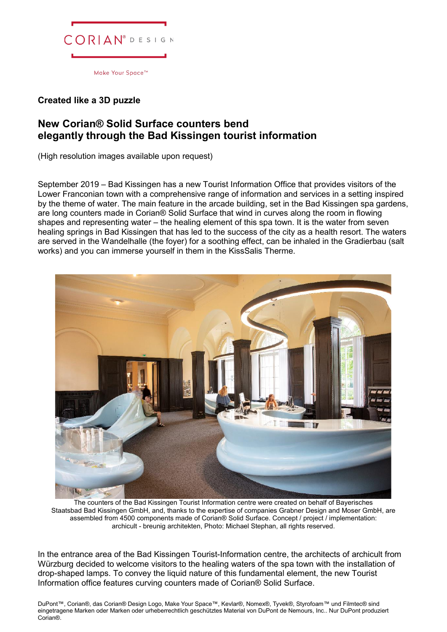

## **Created like a 3D puzzle**

## **New Corian® Solid Surface counters bend elegantly through the Bad Kissingen tourist information**

(High resolution images available upon request)

September 2019 – Bad Kissingen has a new Tourist Information Office that provides visitors of the Lower Franconian town with a comprehensive range of information and services in a setting inspired by the theme of water. The main feature in the arcade building, set in the Bad Kissingen spa gardens, are long counters made in Corian® Solid Surface that wind in curves along the room in flowing shapes and representing water – the healing element of this spa town. It is the water from seven healing springs in Bad Kissingen that has led to the success of the city as a health resort. The waters are served in the Wandelhalle (the foyer) for a soothing effect, can be inhaled in the Gradierbau (salt works) and you can immerse yourself in them in the KissSalis Therme.



The counters of the Bad Kissingen Tourist Information centre were created on behalf of Bayerisches Staatsbad Bad Kissingen GmbH, and, thanks to the expertise of companies Grabner Design and Moser GmbH, are assembled from 4500 components made of Corian® Solid Surface. Concept / project / implementation: archicult - breunig architekten, Photo: Michael Stephan, all rights reserved.

In the entrance area of the Bad Kissingen Tourist-Information centre, the architects of archicult from Würzburg decided to welcome visitors to the healing waters of the spa town with the installation of drop-shaped lamps. To convey the liquid nature of this fundamental element, the new Tourist Information office features curving counters made of Corian® Solid Surface.

DuPont™, Corian®, das Corian® Design Logo, Make Your Space™, Kevlar®, Nomex®, Tyvek®, Styrofoam™ und Filmtec® sind eingetragene Marken oder Marken oder urheberrechtlich geschütztes Material von DuPont de Nemours, Inc.. Nur DuPont produziert Corian®.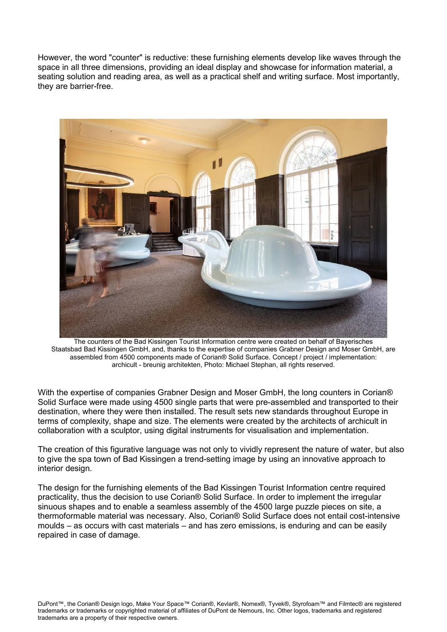However, the word "counter" is reductive: these furnishing elements develop like waves through the space in all three dimensions, providing an ideal display and showcase for information material, a seating solution and reading area, as well as a practical shelf and writing surface. Most importantly, they are barrier-free.



The counters of the Bad Kissingen Tourist Information centre were created on behalf of Bayerisches Staatsbad Bad Kissingen GmbH, and, thanks to the expertise of companies Grabner Design and Moser GmbH, are assembled from 4500 components made of Corian® Solid Surface. Concept / project / implementation: archicult - breunig architekten, Photo: Michael Stephan, all rights reserved.

With the expertise of companies Grabner Design and Moser GmbH, the long counters in Corian® Solid Surface were made using 4500 single parts that were pre-assembled and transported to their destination, where they were then installed. The result sets new standards throughout Europe in terms of complexity, shape and size. The elements were created by the architects of archicult in collaboration with a sculptor, using digital instruments for visualisation and implementation.

The creation of this figurative language was not only to vividly represent the nature of water, but also to give the spa town of Bad Kissingen a trend-setting image by using an innovative approach to interior design.

The design for the furnishing elements of the Bad Kissingen Tourist Information centre required practicality, thus the decision to use Corian® Solid Surface. In order to implement the irregular sinuous shapes and to enable a seamless assembly of the 4500 large puzzle pieces on site, a thermoformable material was necessary. Also, Corian® Solid Surface does not entail cost-intensive moulds – as occurs with cast materials – and has zero emissions, is enduring and can be easily repaired in case of damage.

DuPont™, the Corian® Design logo, Make Your Space™ Corian®, Kevlar®, Nomex®, Tyvek®, Styrofoam™ and Filmtec® are registered trademarks or trademarks or copyrighted material of affiliates of DuPont de Nemours, Inc. Other logos, trademarks and registered trademarks are a property of their respective owners.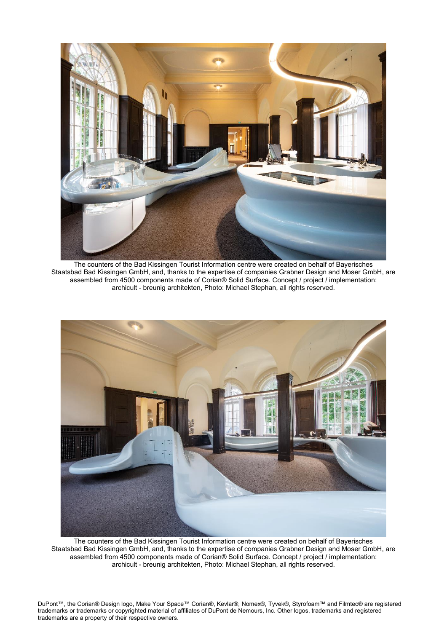

The counters of the Bad Kissingen Tourist Information centre were created on behalf of Bayerisches Staatsbad Bad Kissingen GmbH, and, thanks to the expertise of companies Grabner Design and Moser GmbH, are assembled from 4500 components made of Corian® Solid Surface. Concept / project / implementation: archicult - breunig architekten, Photo: Michael Stephan, all rights reserved.



The counters of the Bad Kissingen Tourist Information centre were created on behalf of Bayerisches Staatsbad Bad Kissingen GmbH, and, thanks to the expertise of companies Grabner Design and Moser GmbH, are assembled from 4500 components made of Corian® Solid Surface. Concept / project / implementation: archicult - breunig architekten, Photo: Michael Stephan, all rights reserved.

DuPont™, the Corian® Design logo, Make Your Space™ Corian®, Kevlar®, Nomex®, Tyvek®, Styrofoam™ and Filmtec® are registered trademarks or trademarks or copyrighted material of affiliates of DuPont de Nemours, Inc. Other logos, trademarks and registered trademarks are a property of their respective owners.